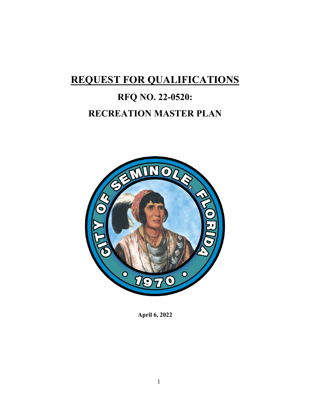## **REQUEST FOR QUALIFICATIONS**

# **RFQ NO. 22-0520: RECREATION MASTER PLAN**



**April 6, 2022**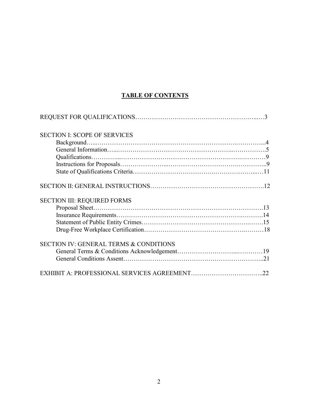## **TABLE OF CONTENTS**

| <b>SECTION I: SCOPE OF SERVICES</b>               |  |
|---------------------------------------------------|--|
|                                                   |  |
|                                                   |  |
|                                                   |  |
|                                                   |  |
|                                                   |  |
|                                                   |  |
| <b>SECTION III: REQUIRED FORMS</b>                |  |
|                                                   |  |
|                                                   |  |
|                                                   |  |
|                                                   |  |
| <b>SECTION IV: GENERAL TERMS &amp; CONDITIONS</b> |  |
|                                                   |  |
|                                                   |  |
|                                                   |  |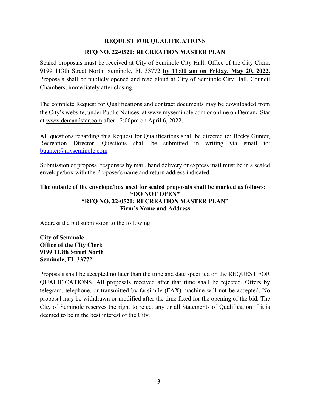## **REQUEST FOR QUALIFICATIONS**

#### **RFQ NO. 22-0520: RECREATION MASTER PLAN**

 9199 113th Street North, Seminole, FL 33772 **by 11:00 am on Friday, May 20, 2022.**  Sealed proposals must be received at City of Seminole City Hall, Office of the City Clerk, Proposals shall be publicly opened and read aloud at City of Seminole City Hall, Council Chambers, immediately after closing.

the City's website, under Public Notices, at [www.myseminole.com](http://www.myseminole.com/) or online on Demand Star at [www.demandstar.com](http://www.demandstar.com/) after 12:00pm on April 6, 2022. The complete Request for Qualifications and contract documents may be downloaded from

 All questions regarding this Request for Qualifications shall be directed to: Becky Gunter, Recreation Director. Questions shall be submitted in writing via email to: [bgunter@myseminole.com](mailto:bgunter@myseminole.com) 

Submission of proposal responses by mail, hand delivery or express mail must be in a sealed envelope/box with the Proposer's name and return address indicated.

#### **The outside of the envelope/box used for sealed proposals shall be marked as follows: "DO NOT OPEN" "RFQ NO. 22-0520: RECREATION MASTER PLAN" Firm's Name and Address**

Address the bid submission to the following:

**City of Seminole 9199 113th Street North City Clerk Seminole, FL 33772** 

 telegram, telephone, or transmitted by facsimile (FAX) machine will not be accepted. No Proposals shall be accepted no later than the time and date specified on the REQUEST FOR QUALIFICATIONS. All proposals received after that time shall be rejected. Offers by proposal may be withdrawn or modified after the time fixed for the opening of the bid. The City of Seminole reserves the right to reject any or all Statements of Qualification if it is deemed to be in the best interest of the City.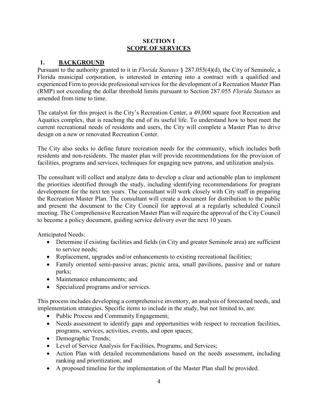#### **SECTION I SCOPE OF SERVICES**

#### **1. BACKGROUND**

Pursuant to the authority granted to it in *Florida Statutes* § 287.055(4)(d), the City of Seminole, a Florida municipal corporation, is interested in entering into a contract with a qualified and experienced Firm to provide professional services for the development of a Recreation Master Plan (RMP) not exceeding the dollar threshold limits pursuant to Section 287.055 *Florida Statutes* as amended from time to time.

The catalyst for this project is the City's Recreation Center, a 49,000 square foot Recreation and Aquatics complex, that is reaching the end of its useful life. To understand how to best meet the current recreational needs of residents and users, the City will complete a Master Plan to drive design on a new or renovated Recreation Center.

The City also seeks to define future recreation needs for the community, which includes both residents and non-residents. The master plan will provide recommendations for the provision of facilities, programs and services, techniques for engaging new patrons, and utilization analysis.

 to become a policy document, guiding service delivery over the next 10 years. The consultant will collect and analyze data to develop a clear and actionable plan to implement the priorities identified through the study, including identifying recommendations for program development for the next ten years. The consultant will work closely with City staff in preparing the Recreation Master Plan. The consultant will create a document for distribution to the public and present the document to the City Council for approval at a regularly scheduled Council meeting. The Comprehensive Recreation Master Plan will require the approval of the City Council

Anticipated Needs:

- • Determine if existing facilities and fields (in City and greater Seminole area) are sufficient to service needs;
- Replacement, upgrades and/or enhancements to existing recreational facilities;
- Family oriented semi-passive areas; picnic area, small pavilions, passive and or nature parks;
- Maintenance enhancements; and
- Specialized programs and/or services.

This process includes developing a comprehensive inventory, an analysis of forecasted needs, and implementation strategies. Specific items to include in the study, but not limited to, are:

- Public Process and Community Engagement;
- Needs assessment to identify gaps and opportunities with respect to recreation facilities, programs, services, activities, events, and open spaces;
- Demographic Trends;
- Level of Service Analysis for Facilities, Programs, and Services;
- Action Plan with detailed recommendations based on the needs assessment, including ranking and prioritization; and
- A proposed timeline for the implementation of the Master Plan shall be provided.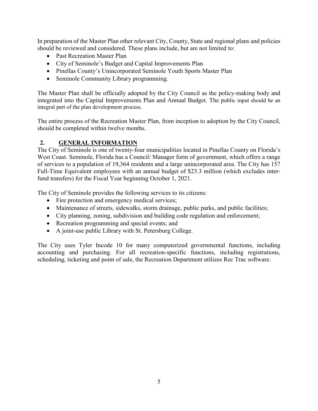In preparation of the Master Plan other relevant City, County, State and regional plans and policies should be reviewed and considered. These plans include, but are not limited to:

- Past Recreation Master Plan
- City of Seminole's Budget and Capital Improvements Plan
- Pinellas County's Unincorporated Seminole Youth Sports Master Plan
- Seminole Community Library programming.

 integral part of the plan development process. The Master Plan shall be officially adopted by the City Council as the policy-making body and integrated into the Capital Improvements Plan and Annual Budget. The public input should be an

 The entire process of the Recreation Master Plan, from inception to adoption by the City Council, should be completed within twelve months.

## **2. GENERAL INFORMATION**

 West Coast. Seminole, Florida has a Council/ Manager form of government, which offers a range The City of Seminole is one of twenty-four municipalities located in Pinellas County on Florida's of services to a population of 19,364 residents and a large unincorporated area. The City has 157 Full-Time Equivalent employees with an annual budget of \$23.3 million (which excludes interfund transfers) for the Fiscal Year beginning October 1, 2021.

The City of Seminole provides the following services to its citizens:

- Fire protection and emergency medical services;
- Maintenance of streets, sidewalks, storm drainage, public parks, and public facilities;
- City planning, zoning, subdivision and building code regulation and enforcement;
- Recreation programming and special events; and
- A joint-use public Library with St. Petersburg College.

 scheduling, ticketing and point of sale, the Recreation Department utilizes Rec Trac software. The City uses Tyler Incode 10 for many computerized governmental functions, including accounting and purchasing. For all recreation-specific functions, including registrations,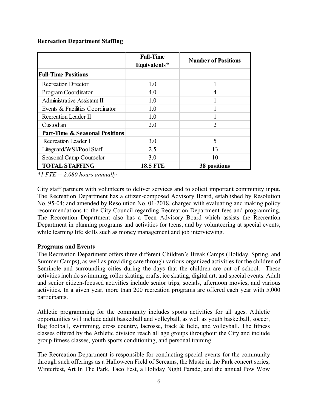#### **Recreation Department Staffing**

|                                           | <b>Full-Time</b><br>Equivalents* | <b>Number of Positions</b> |  |
|-------------------------------------------|----------------------------------|----------------------------|--|
| <b>Full-Time Positions</b>                |                                  |                            |  |
| <b>Recreation Director</b>                | 1.0                              |                            |  |
| Program Coordinator                       | 4.0                              | 4                          |  |
| Administrative Assistant II               | 1.0                              |                            |  |
| Events & Facilities Coordinator           | 1.0                              |                            |  |
| Recreation Leader II                      | 1.0                              |                            |  |
| Custodian                                 | 2.0                              | $\overline{2}$             |  |
| <b>Part-Time &amp; Seasonal Positions</b> |                                  |                            |  |
| Recreation Leader I                       | 3.0                              | 5                          |  |
| Lifeguard/WSI/Pool Staff                  | 2.5                              | 13                         |  |
| Seasonal Camp Counselor                   | 3.0                              | 10                         |  |
| <b>TOTAL STAFFING</b>                     | <b>18.5 FTE</b>                  | 38 positions               |  |

*\*1 FTE = 2,080 hours annually* 

 City staff partners with volunteers to deliver services and to solicit important community input. The Recreation Department also has a Teen Advisory Board which assists the Recreation while learning life skills such as money management and job interviewing. The Recreation Department has a citizen-composed Advisory Board, established by Resolution No. 95-04; and amended by Resolution No. 01-2018, charged with evaluating and making policy recommendations to the City Council regarding Recreation Department fees and programming. Department in planning programs and activities for teens, and by volunteering at special events,

#### **Programs and Events**

The Recreation Department offers three different Children's Break Camps (Holiday, Spring, and Summer Camps), as well as providing care through various organized activities for the children of Seminole and surrounding cities during the days that the children are out of school. These activities include swimming, roller skating, crafts, ice skating, digital art, and special events. Adult and senior citizen-focused activities include senior trips, socials, afternoon movies, and various activities. In a given year, more than 200 recreation programs are offered each year with 5,000 participants.

 opportunities will include adult basketball and volleyball, as well as youth basketball, soccer, classes offered by the Athletic division reach all age groups throughout the City and include Athletic programming for the community includes sports activities for all ages. Athletic flag football, swimming, cross country, lacrosse, track & field, and volleyball. The fitness group fitness classes, youth sports conditioning, and personal training.

The Recreation Department is responsible for conducting special events for the community through such offerings as a Halloween Field of Screams, the Music in the Park concert series, Winterfest, Art In The Park, Taco Fest, a Holiday Night Parade, and the annual Pow Wow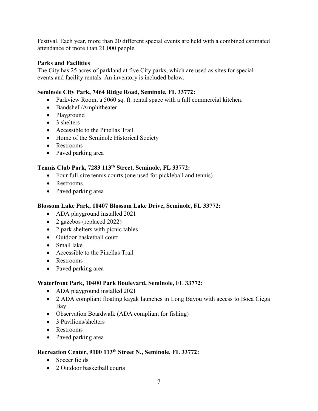Festival. Each year, more than 20 different special events are held with a combined estimated attendance of more than 21,000 people.

#### **Parks and Facilities**

The City has 25 acres of parkland at five City parks, which are used as sites for special events and facility rentals. An inventory is included below.

#### **Seminole City Park, 7464 Ridge Road, Seminole, FL 33772:**

- Parkview Room, a 5060 sq. ft. rental space with a full commercial kitchen.
- Bandshell/Amphitheater
- Playground
- 3 shelters
- Accessible to the Pinellas Trail
- Home of the Seminole Historical Society
- Restrooms
- Paved parking area

#### **Tennis Club Park, 7283 113th Street, Seminole, FL 33772:**

- Four full-size tennis courts (one used for pickleball and tennis)
- Restrooms
- Paved parking area

#### **Blossom Lake Park, 10407 Blossom Lake Drive, Seminole, FL 33772:**

- ADA playground installed 2021
- 2 gazebos (replaced 2022)
- 2 park shelters with picnic tables
- Outdoor basketball court
- Small lake
- Accessible to the Pinellas Trail
- Restrooms
- Paved parking area

#### **Waterfront Park, 10400 Park Boulevard, Seminole, FL 33772:**

- ADA playground installed 2021
- 2 ADA compliant floating kayak launches in Long Bayou with access to Boca Ciega Bay
- Observation Boardwalk (ADA compliant for fishing)
- 3 Pavilions/shelters
- Restrooms
- Paved parking area

## **Recreation Center, 9100 113th Street N., Seminole, FL 33772:**

- Soccer fields
- 2 Outdoor basketball courts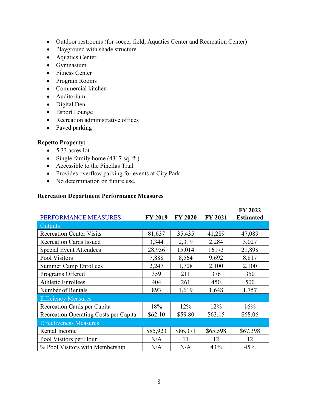- Outdoor restrooms (for soccer field, Aquatics Center and Recreation Center)
- Playground with shade structure
- Aquatics Center
- Gymnasium
- Fitness Center
- Program Rooms
- Commercial kitchen
- Auditorium
- Digital Den
- Esport Lounge
- Recreation administrative offices
- Paved parking

#### **Repetto Property:**

- 5.33 acres lot
- Single-family home (4317 sq. ft.)
- Accessible to the Pinellas Trail
- Provides overflow parking for events at City Park
- No determination on future use.

#### **Recreation Department Performance Measures**

| PERFORMANCE MEASURES                  | <b>FY 2019</b> | <b>FY 2020</b> | <b>FY 2021</b> | <b>FY 2022</b><br><b>Estimated</b> |
|---------------------------------------|----------------|----------------|----------------|------------------------------------|
| <b>Outputs</b>                        |                |                |                |                                    |
| <b>Recreation Center Visits</b>       | 81,637         | 35,435         | 41,289         | 47,089                             |
| <b>Recreation Cards Issued</b>        | 3,344          | 2,319          | 2,284          | 3,027                              |
| <b>Special Event Attendees</b>        | 28,956         | 15,014         | 16173          | 21,898                             |
| Pool Visitors                         | 7,888          | 8,564          | 9,692          | 8,817                              |
| <b>Summer Camp Enrollees</b>          | 2,247          | 1,708          | 2,100          | 2,100                              |
| Programs Offered                      | 359            | 211            | 376            | 350                                |
| <b>Athletic Enrollees</b>             | 404            | 261            | 450            | 500                                |
| Number of Rentals                     | 893            | 1,619          | 1,648          | 1,757                              |
| <b>Efficiency Measures</b>            |                |                |                |                                    |
| Recreation Cards per Capita           | 18%            | 12%            | 12%            | 16%                                |
| Recreation Operating Costs per Capita | \$62.10        | \$59.80        | \$63.15        | \$68.06                            |
| <b>Effectiveness Measures</b>         |                |                |                |                                    |
| Rental Income                         | \$85,923       | \$86,371       | \$65,598       | \$67,398                           |
| Pool Visitors per Hour                | N/A            | 11             | 12             | 12                                 |
| % Pool Visitors with Membership       | N/A            | N/A            | 43%            | 45%                                |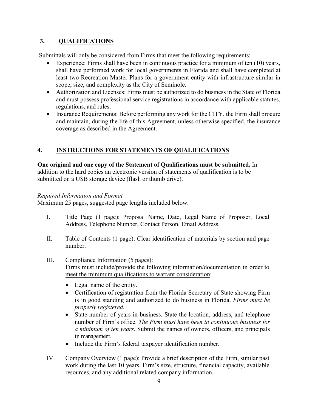## **3. QUALIFICATIONS**

Submittals will only be considered from Firms that meet the following requirements:

- Experience: Firms shall have been in continuous practice for a minimum of ten  $(10)$  years, least two Recreation Master Plans for a government entity with infrastructure similar in shall have performed work for local governments in Florida and shall have completed at scope, size, and complexity as the City of Seminole.
- Authorization and Licenses: Firms must be authorized to do business in the State of Florida and must possess professional service registrations in accordance with applicable statutes, regulations, and rules.
- and maintain, during the life of this Agreement, unless otherwise specified, the insurance coverage as described in the Agreement. • Insurance Requirements: Before performing any work for the CITY, the Firm shall procure

## **4. INSTRUCTIONS FOR STATEMENTS OF QUALIFICATIONS**

#### **One original and one copy of the Statement of Qualifications must be submitted.** In

 submitted on a USB storage device (flash or thumb drive). addition to the hard copies an electronic version of statements of qualification is to be

#### *Required Information and Format*

Maximum 25 pages, suggested page lengths included below.

- I. Title Page (1 page): Proposal Name, Date, Legal Name of Proposer, Local Address, Telephone Number, Contact Person, Email Address.
- II. Table of Contents (1 page): Clear identification of materials by section and page number.
- III. Compliance Information (5 pages): Firms must include/provide the following information/documentation in order to meet the minimum qualifications to warrant consideration:
	- Legal name of the entity.
	- Certification of registration from the Florida Secretary of State showing Firm is in good standing and authorized to do business in Florida. *Firms must be properly registered.*
	- number of Firm's office. *The Firm must have been in continuous business for a minimum of ten years.* Submit the names of owners, officers, and principals in management. • State number of years in business. State the location, address, and telephone
	- Include the Firm's federal taxpayer identification number.
- resources, and any additional related company information. IV. Company Overview (1 page): Provide a brief description of the Firm, similar past work during the last 10 years, Firm's size, structure, financial capacity, available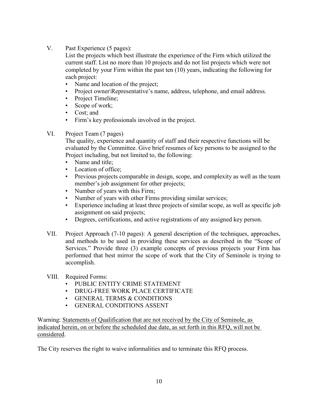V. Past Experience (5 pages):

 current staff. List no more than 10 projects and do not list projects which were not completed by your Firm within the past ten (10) years, indicating the following for each project: List the projects which best illustrate the experience of the Firm which utilized the

- Name and location of the project;
- Project owner\Representative's name, address, telephone, and email address.
- Project Timeline;
- Scope of work;
- Cost; and
- Firm's key professionals involved in the project.
- VI. Project Team (7 pages)

The quality, experience and quantity of staff and their respective functions will be evaluated by the Committee. Give brief resumes of key persons to be assigned to the Project including, but not limited to, the following:

- Name and title:
- Location of office;
- • Previous projects comparable in design, scope, and complexity as well as the team member's job assignment for other projects;
- Number of years with this Firm;
- Number of years with other Firms providing similar services;
- • Experience including at least three projects of similar scope, as well as specific job assignment on said projects;
- Degrees, certifications, and active registrations of any assigned key person.
- Services." Provide three (3) example concepts of previous projects your Firm has performed that best mirror the scope of work that the City of Seminole is trying to VII. Project Approach (7-10 pages): A general description of the techniques, approaches, and methods to be used in providing these services as described in the "Scope of accomplish.
- VIII. Required Forms:
	- PUBLIC ENTITY CRIME STATEMENT
	- DRUG-FREE WORK PLACE CERTIFICATE
	- GENERAL TERMS & CONDITIONS
	- GENERAL CONDITIONS ASSENT

 indicated herein, on or before the scheduled due date, as set forth in this RFQ, will not be Warning: Statements of Qualification that are not received by the City of Seminole, as considered.

The City reserves the right to waive informalities and to terminate this RFQ process.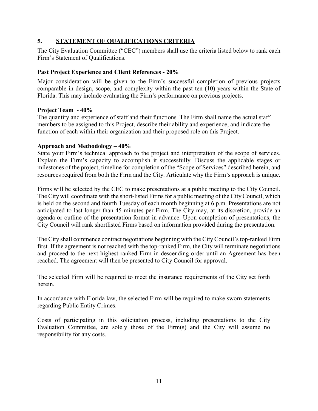#### **5. STATEMENT OF QUALIFICATIONS CRITERIA**

The City Evaluation Committee ("CEC") members shall use the criteria listed below to rank each Firm's Statement of Qualifications.

#### **Past Project Experience and Client References - 20%**

 Florida. This may include evaluating the Firm's performance on previous projects. Major consideration will be given to the Firm's successful completion of previous projects comparable in design, scope, and complexity within the past ten (10) years within the State of

#### **Project Team - 40%**

 The quantity and experience of staff and their functions. The Firm shall name the actual staff members to be assigned to this Project, describe their ability and experience, and indicate the function of each within their organization and their proposed role on this Project.

#### **Approach and Methodology – 40%**

 resources required from both the Firm and the City. Articulate why the Firm's approach is unique. State your Firm's technical approach to the project and interpretation of the scope of services. Explain the Firm's capacity to accomplish it successfully. Discuss the applicable stages or milestones of the project, timeline for completion of the "Scope of Services" described herein, and

 is held on the second and fourth Tuesday of each month beginning at 6 p.m. Presentations are not anticipated to last longer than 45 minutes per Firm. The City may, at its discretion, provide an Firms will be selected by the CEC to make presentations at a public meeting to the City Council. The City will coordinate with the short-listed Firms for a public meeting of the City Council, which agenda or outline of the presentation format in advance. Upon completion of presentations, the City Council will rank shortlisted Firms based on information provided during the presentation.

 The City shall commence contract negotiations beginning with the City Council's top-ranked Firm and proceed to the next highest-ranked Firm in descending order until an Agreement has been reached. The agreement will then be presented to City Council for approval. first. If the agreement is not reached with the top-ranked Firm, the City will terminate negotiations

The selected Firm will be required to meet the insurance requirements of the City set forth herein.

In accordance with Florida law, the selected Firm will be required to make sworn statements regarding Public Entity Crimes.

 Costs of participating in this solicitation process, including presentations to the City Evaluation Committee, are solely those of the Firm(s) and the City will assume no responsibility for any costs.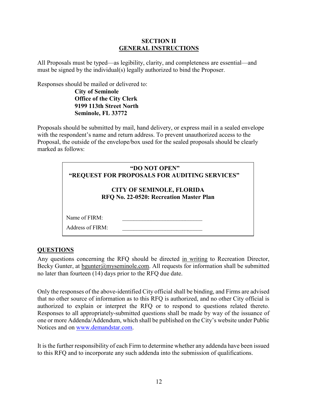#### **SECTION II GENERAL INSTRUCTIONS**

All Proposals must be typed—as legibility, clarity, and completeness are essential—and must be signed by the individual(s) legally authorized to bind the Proposer.

Responses should be mailed or delivered to:

**City of Seminole 9199 113th Street North Office of the City Clerk Seminole, FL 33772** 

Proposals should be submitted by mail, hand delivery, or express mail in a sealed envelope with the respondent's name and return address. To prevent unauthorized access to the Proposal, the outside of the envelope/box used for the sealed proposals should be clearly marked as follows:

| "DO NOT OPEN"<br>"REQUEST FOR PROPOSALS FOR AUDITING SERVICES"<br><b>CITY OF SEMINOLE, FLORIDA</b><br>RFQ No. 22-0520: Recreation Master Plan |  |  |
|-----------------------------------------------------------------------------------------------------------------------------------------------|--|--|
| Name of $FIRM:$<br>Address of FIRM:                                                                                                           |  |  |

## **QUESTIONS**

 no later than fourteen (14) days prior to the RFQ due date. Any questions concerning the RFQ should be directed in writing to Recreation Director, Becky Gunter, at bgunter@myseminole.com. All requests for information shall be submitted

authorized to explain or interpret the RFQ or to respond to questions related thereto. Only the responses of the above-identified City official shall be binding, and Firms are advised that no other source of information as to this RFQ is authorized, and no other City official is Responses to all appropriately-submitted questions shall be made by way of the issuance of one or more Addenda/Addendum, which shall be published on the City's website under Public Notices and on [www.demandstar.com.](http://www.demandstar.com/)

It is the further responsibility of each Firm to determine whether any addenda have been issued to this RFQ and to incorporate any such addenda into the submission of qualifications.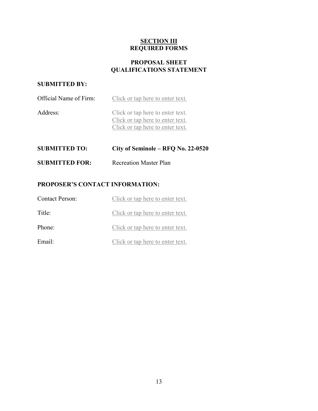#### **SECTION III REQUIRED FORMS**

#### **PROPOSAL SHEET QUALIFICATIONS STATEMENT**

## **SUBMITTED BY:**

| Official Name of Firm: | Click or tap here to enter text.                                                                         |
|------------------------|----------------------------------------------------------------------------------------------------------|
| Address:               | Click or tap here to enter text.<br>Click or tap here to enter text.<br>Click or tap here to enter text. |
|                        |                                                                                                          |

| <b>SUBMITTED TO:</b>  | City of Seminole – RFQ No. 22-0520 |
|-----------------------|------------------------------------|
| <b>SUBMITTED FOR:</b> | <b>Recreation Master Plan</b>      |

## **PROPOSER'S CONTACT INFORMATION:**

| <b>Contact Person:</b> | Click or tap here to enter text. |
|------------------------|----------------------------------|
| Title:                 | Click or tap here to enter text. |
| Phone:                 | Click or tap here to enter text. |
| Email:                 | Click or tap here to enter text. |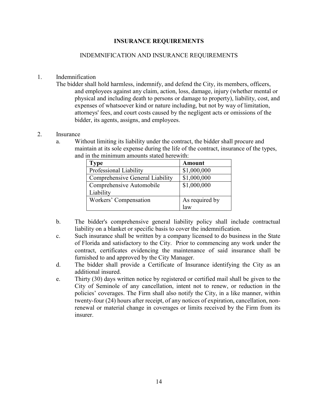#### **INSURANCE REQUIREMENTS**

#### INDEMNIFICATION AND INSURANCE REQUIREMENTS

#### 1. Indemnification

The bidder shall hold harmless, indemnify, and defend the City, its members, officers, and employees against any claim, action, loss, damage, injury (whether mental or physical and including death to persons or damage to property), liability, cost, and expenses of whatsoever kind or nature including, but not by way of limitation, attorneys' fees, and court costs caused by the negligent acts or omissions of the bidder, its agents, assigns, and employees.

#### 2. Insurance

 a. Without limiting its liability under the contract, the bidder shall procure and maintain at its sole expense during the life of the contract, insurance of the types, and in the minimum amounts stated herewith:

| <b>Type</b>                     | <b>Amount</b>  |
|---------------------------------|----------------|
| Professional Liability          | \$1,000,000    |
| Comprehensive General Liability | \$1,000,000    |
| Comprehensive Automobile        | \$1,000,000    |
| Liability                       |                |
| Workers' Compensation           | As required by |
|                                 | law            |

- b. The bidder's comprehensive general liability policy shall include contractual liability on a blanket or specific basis to cover the indemnification.
- c. Such insurance shall be written by a company licensed to do business in the State of Florida and satisfactory to the City. Prior to commencing any work under the contract, certificates evidencing the maintenance of said insurance shall be furnished to and approved by the City Manager.
- d. The bidder shall provide a Certificate of Insurance identifying the City as an additional insured.
- e. Thirty (30) days written notice by registered or certified mail shall be given to the policies' coverages. The Firm shall also notify the City, in a like manner, within City of Seminole of any cancellation, intent not to renew, or reduction in the twenty-four (24) hours after receipt, of any notices of expiration, cancellation, nonrenewal or material change in coverages or limits received by the Firm from its insurer.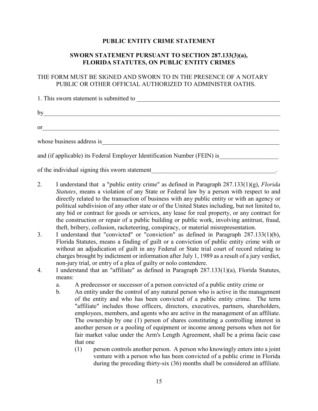#### **PUBLIC ENTITY CRIME STATEMENT**

#### **SWORN STATEMENT PURSUANT TO SECTION 287.133(3)(a), FLORIDA STATUTES, ON PUBLIC ENTITY CRIMES**

#### THE FORM MUST BE SIGNED AND SWORN TO IN THE PRESENCE OF A NOTARY PUBLIC OR OTHER OFFICIAL AUTHORIZED TO ADMINISTER OATHS.

| 1. This sworn statement is submitted to                                  |  |  |
|--------------------------------------------------------------------------|--|--|
|                                                                          |  |  |
| by                                                                       |  |  |
| <sub>or</sub>                                                            |  |  |
|                                                                          |  |  |
| whose business address is                                                |  |  |
| and (if applicable) its Federal Employer Identification Number (FEIN) is |  |  |
|                                                                          |  |  |

of the individual signing this sworn statement

- directly related to the transaction of business with any public entity or with an agency or any bid or contract for goods or services, any lease for real property, or any contract for 2. I understand that a "public entity crime" as defined in Paragraph 287.133(1)(g), *Florida Statutes*, means a violation of any State or Federal law by a person with respect to and political subdivision of any other state or of the United States including, but not limited to, the construction or repair of a public building or public work, involving antitrust, fraud, theft, bribery, collusion, racketeering, conspiracy, or material misrepresentation.
- Florida Statutes, means a finding of guilt or a conviction of public entity crime with or 3. I understand that "convicted" or "conviction" as defined in Paragraph 287.133(1)(b), without an adjudication of guilt in any Federal or State trial court of record relating to charges brought by indictment or information after July 1, 1989 as a result of a jury verdict, non-jury trial, or entry of a plea of guilty or nolo contendere.
- 4. I understand that an "affiliate" as defined in Paragraph 287.133(1)(a), Florida Statutes, means:
	- a. A predecessor or successor of a person convicted of a public entity crime or
	- employees, members, and agents who are active in the management of an affiliate. b. An entity under the control of any natural person who is active in the management of the entity and who has been convicted of a public entity crime. The term "affiliate" includes those officers, directors, executives, partners, shareholders, The ownership by one (1) person of shares constituting a controlling interest in another person or a pooling of equipment or income among persons when not for fair market value under the Arm's Length Agreement, shall be a prima facie case that one
		- venture with a person who has been convicted of a public crime in Florida (1) person controls another person. A person who knowingly enters into a joint during the preceding thirty-six (36) months shall be considered an affiliate.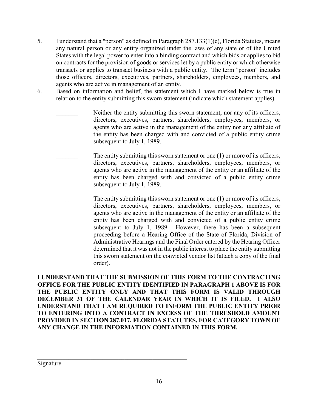- 5. I understand that a "person" as defined in Paragraph 287.133(1)(e), Florida Statutes, means any natural person or any entity organized under the laws of any state or of the United on contracts for the provision of goods or services let by a public entity or which otherwise States with the legal power to enter into a binding contract and which bids or applies to bid transacts or applies to transact business with a public entity. The term "person" includes those officers, directors, executives, partners, shareholders, employees, members, and agents who are active in management of an entity.
- 6. Based on information and belief, the statement which I have marked below is true in relation to the entity submitting this sworn statement (indicate which statement applies).

 agents who are active in the management of the entity nor any affiliate of the entity has been charged with and convicted of a public entity crime Neither the entity submitting this sworn statement, nor any of its officers, directors, executives, partners, shareholders, employees, members, or subsequent to July 1, 1989.

The entity submitting this sworn statement or one  $(1)$  or more of its officers, directors, executives, partners, shareholders, employees, members, or agents who are active in the management of the entity or an affiliate of the entity has been charged with and convicted of a public entity crime subsequent to July 1, 1989.

The entity submitting this sworn statement or one  $(1)$  or more of its officers, directors, executives, partners, shareholders, employees, members, or agents who are active in the management of the entity or an affiliate of the entity has been charged with and convicted of a public entity crime subsequent to July 1, 1989. However, there has been a subsequent proceeding before a Hearing Office of the State of Florida, Division of Administrative Hearings and the Final Order entered by the Hearing Officer determined that it was not in the public interest to place the entity submitting this sworn statement on the convicted vendor list (attach a copy of the final order).

**I UNDERSTAND THAT THE SUBMISSION OF THIS FORM TO THE CONTRACTING OFFICE FOR THE PUBLIC ENTITY IDENTIFIED IN PARAGRAPH 1 ABOVE IS FOR THE PUBLIC ENTITY ONLY AND THAT THIS FORM IS VALID THROUGH DECEMBER 31 OF THE CALENDAR YEAR IN WHICH IT IS FILED. I ALSO UNDERSTAND THAT I AM REQUIRED TO INFORM THE PUBLIC ENTITY PRIOR TO ENTERING INTO A CONTRACT IN EXCESS OF THE THRESHOLD AMOUNT PROVIDED IN SECTION 287.017, FLORIDA STATUTES, FOR CATEGORY TOWN OF ANY CHANGE IN THE INFORMATION CONTAINED IN THIS FORM.** 

Signature

 $\mathcal{L}_\text{G}$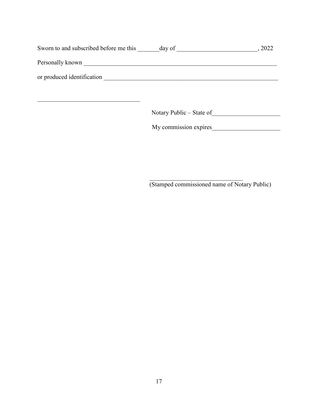| Sworn to and subscribed before me this ______ day of ___________________________ |                          | , 2022 |
|----------------------------------------------------------------------------------|--------------------------|--------|
|                                                                                  |                          |        |
|                                                                                  |                          |        |
|                                                                                  |                          |        |
|                                                                                  | Notary Public – State of |        |
|                                                                                  | My commission expires    |        |
|                                                                                  |                          |        |
|                                                                                  |                          |        |
|                                                                                  |                          |        |

(Stamped commissioned name of Notary Public)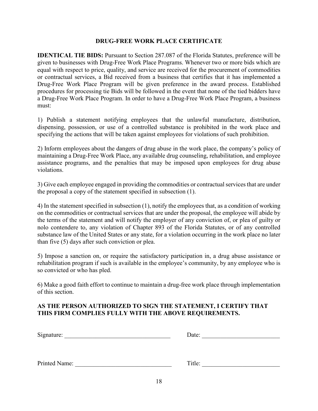#### **DRUG-FREE WORK PLACE CERTIFICATE**

 or contractual services, a Bid received from a business that certifies that it has implemented a procedures for processing tie Bids will be followed in the event that none of the tied bidders have **IDENTICAL TIE BIDS:** Pursuant to Section 287.087 of the Florida Statutes, preference will be given to businesses with Drug-Free Work Place Programs. Whenever two or more bids which are equal with respect to price, quality, and service are received for the procurement of commodities Drug-Free Work Place Program will be given preference in the award process. Established a Drug-Free Work Place Program. In order to have a Drug-Free Work Place Program, a business must:

1) Publish a statement notifying employees that the unlawful manufacture, distribution, dispensing, possession, or use of a controlled substance is prohibited in the work place and specifying the actions that will be taken against employees for violations of such prohibition.

2) Inform employees about the dangers of drug abuse in the work place, the company's policy of maintaining a Drug-Free Work Place, any available drug counseling, rehabilitation, and employee assistance programs, and the penalties that may be imposed upon employees for drug abuse violations.

3) Give each employee engaged in providing the commodities or contractual services that are under the proposal a copy of the statement specified in subsection (1).

 nolo contendere to, any violation of Chapter 893 of the Florida Statutes, or of any controlled 4) In the statement specified in subsection (1), notify the employees that, as a condition of working on the commodities or contractual services that are under the proposal, the employee will abide by the terms of the statement and will notify the employer of any conviction of, or plea of guilty or substance law of the United States or any state, for a violation occurring in the work place no later than five (5) days after such conviction or plea.

 rehabilitation program if such is available in the employee's community, by any employee who is so convicted or who has pled. 5) Impose a sanction on, or require the satisfactory participation in, a drug abuse assistance or

6) Make a good faith effort to continue to maintain a drug-free work place through implementation of this section.

#### **AS THE PERSON AUTHORIZED TO SIGN THE STATEMENT, I CERTIFY THAT THIS FIRM COMPLIES FULLY WITH THE ABOVE REQUIREMENTS.**

| Signature: | Date: |  |
|------------|-------|--|
|            |       |  |
|            |       |  |

Printed Name: <u>and Title:</u> Title: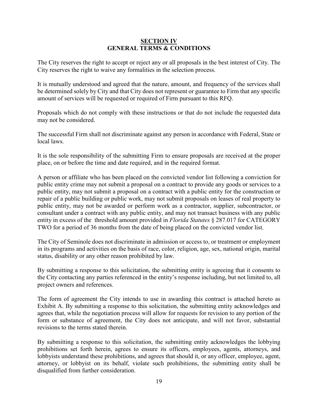#### **SECTION IV GENERAL TERMS & CONDITIONS**

The City reserves the right to accept or reject any or all proposals in the best interest of City. The City reserves the right to waive any formalities in the selection process.

 It is mutually understood and agreed that the nature, amount, and frequency of the services shall be determined solely by City and that City does not represent or guarantee to Firm that any specific amount of services will be requested or required of Firm pursuant to this RFQ.

 may not be considered. Proposals which do not comply with these instructions or that do not include the requested data

The successful Firm shall not discriminate against any person in accordance with Federal, State or local laws.

It is the sole responsibility of the submitting Firm to ensure proposals are received at the proper place, on or before the time and date required, and in the required format.

 public entity crime may not submit a proposal on a contract to provide any goods or services to a repair of a public building or public work, may not submit proposals on leases of real property to public entity, may not be awarded or perform work as a contractor, supplier, subcontractor, or TWO for a period of 36 months from the date of being placed on the convicted vendor list. A person or affiliate who has been placed on the convicted vendor list following a conviction for public entity, may not submit a proposal on a contract with a public entity for the construction or consultant under a contract with any public entity, and may not transact business with any public entity in excess of the threshold amount provided in *Florida Statutes* § 287.017 for CATEGORY

The City of Seminole does not discriminate in admission or access to, or treatment or employment in its programs and activities on the basis of race, color, religion, age, sex, national origin, marital status, disability or any other reason prohibited by law.

By submitting a response to this solicitation, the submitting entity is agreeing that it consents to the City contacting any parties referenced in the entity's response including, but not limited to, all project owners and references.

 Exhibit A. By submitting a response to this solicitation, the submitting entity acknowledges and agrees that, while the negotiation process will allow for requests for revision to any portion of the The form of agreement the City intends to use in awarding this contract is attached hereto as form or substance of agreement, the City does not anticipate, and will not favor, substantial revisions to the terms stated therein.

By submitting a response to this solicitation, the submitting entity acknowledges the lobbying prohibitions set forth herein, agrees to ensure its officers, employees, agents, attorneys, and lobbyists understand these prohibitions, and agrees that should it, or any officer, employee, agent, attorney, or lobbyist on its behalf, violate such prohibitions, the submitting entity shall be disqualified from further consideration.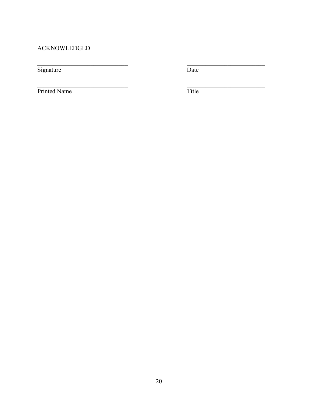## **ACKNOWLEDGED**

Signature

Date

Printed Name

Title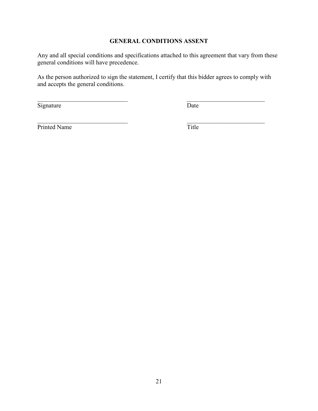#### **GENERAL CONDITIONS ASSENT**

Any and all special conditions and specifications attached to this agreement that vary from these general conditions will have precedence.

 As the person authorized to sign the statement, I certify that this bidder agrees to comply with and accepts the general conditions.

**Signature** 

**Date** Date

\_\_\_\_\_\_\_\_\_\_\_\_\_\_\_\_\_\_\_\_\_\_\_\_\_

Printed Name

\_\_\_\_\_\_\_\_\_\_\_\_\_\_\_\_\_\_\_\_\_\_\_\_\_\_\_\_\_

 $\mathcal{L}_\text{max}$  , and the set of the set of the set of the set of the set of the set of the set of the set of the set of the set of the set of the set of the set of the set of the set of the set of the set of the set of the

 $\mathcal{L}_\text{max}$  , where  $\mathcal{L}_\text{max}$  and  $\mathcal{L}_\text{max}$ Title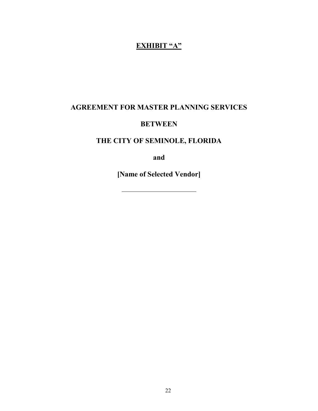## **EXHIBIT "A"**

## **AGREEMENT FOR MASTER PLANNING SERVICES**

## **BETWEEN**

## **THE CITY OF SEMINOLE, FLORIDA**

**and** 

**[Name of Selected Vendor]** 

22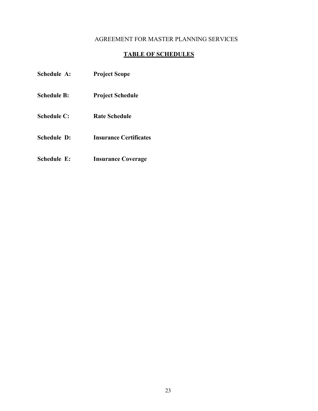#### AGREEMENT FOR MASTER PLANNING SERVICES

## **TABLE OF SCHEDULES**

| Schedule A:        | <b>Project Scope</b>          |
|--------------------|-------------------------------|
| Schedule B:        | <b>Project Schedule</b>       |
| Schedule C:        | <b>Rate Schedule</b>          |
| <b>Schedule D:</b> | <b>Insurance Certificates</b> |
|                    |                               |

 **Schedule E: Insurance Coverage**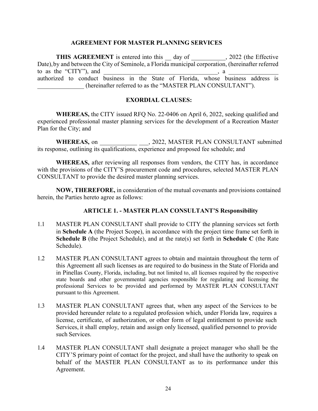#### **AGREEMENT FOR MASTER PLANNING SERVICES**

**THIS AGREEMENT** is entered into this <u>day of secondary and the effective</u> Date), by and between the City of Seminole, a Florida municipal corporation, (hereinafter referred to as the "CITY"), and  $\frac{1}{\sqrt{1-\frac{1}{n}}}\left\{ \frac{1}{n}, \frac{1}{n}, \frac{1}{n}, \frac{1}{n}, \frac{1}{n}, \frac{1}{n}, \frac{1}{n}, \frac{1}{n}, \frac{1}{n}, \frac{1}{n}, \frac{1}{n}, \frac{1}{n}, \frac{1}{n}, \frac{1}{n}, \frac{1}{n}, \frac{1}{n}, \frac{1}{n}, \frac{1}{n}, \frac{1}{n}, \frac{1}{n}, \frac{1}{n}, \frac{1}{n}, \frac{1}{n}, \frac{1}{n}, \frac{1}{n}, \frac$  authorized to conduct business in the State of Florida, whose business address is (hereinafter referred to as the "MASTER PLAN CONSULTANT").

#### **EXORDIAL CLAUSES:**

 **WHEREAS,** the CITY issued RFQ No. 22-0406 on April 6, 2022, seeking qualified and experienced professional master planning services for the development of a Recreation Master Plan for the City; and

**WHEREAS,** on \_\_\_\_\_\_\_\_\_\_\_\_ \_\_\_, 2022, MASTER PLAN CONSULTANT submitted its response, outlining its qualifications, experience and proposed fee schedule; and

 CONSULTANT to provide the desired master planning services. **WHEREAS,** after reviewing all responses from vendors, the CITY has, in accordance with the provisions of the CITY'S procurement code and procedures, selected MASTER PLAN

**NOW, THEREFORE,** in consideration of the mutual covenants and provisions contained herein, the Parties hereto agree as follows:

#### **ARTICLE 1. - MASTER PLAN CONSULTANT'S Responsibility**

- 1.1 MASTER PLAN CONSULTANT shall provide to CITY the planning services set forth in **Schedule A** (the Project Scope), in accordance with the project time frame set forth in **Schedule B** (the Project Schedule), and at the rate(s) set forth in **Schedule C** (the Rate Schedule).
- 1.2 MASTER PLAN CONSULTANT agrees to obtain and maintain throughout the term of this Agreement all such licenses as are required to do business in the State of Florida and state boards and other governmental agencies responsible for regulating and licensing the professional Services to be provided and performed by MASTER PLAN CONSULTANT in Pinellas County, Florida, including, but not limited to, all licenses required by the respective pursuant to this Agreement.
- Services, it shall employ, retain and assign only licensed, qualified personnel to provide such Services. 1.3 MASTER PLAN CONSULTANT agrees that, when any aspect of the Services to be provided hereunder relate to a regulated profession which, under Florida law, requires a license, certificate, of authorization, or other form of legal entitlement to provide such
- 1.4 MASTER PLAN CONSULTANT shall designate a project manager who shall be the CITY'S primary point of contact for the project, and shall have the authority to speak on behalf of the MASTER PLAN CONSULTANT as to its performance under this Agreement.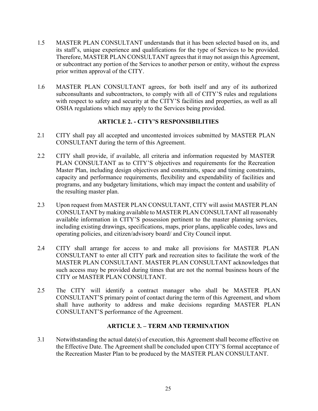- 1.5 MASTER PLAN CONSULTANT understands that it has been selected based on its, and its staff's, unique experience and qualifications for the type of Services to be provided. prior written approval of the CITY. Therefore, MASTER PLAN CONSULTANT agrees that it may not assign this Agreement, or subcontract any portion of the Services to another person or entity, without the express
- with respect to safety and security at the CITY'S facilities and properties, as well as all 1.6 MASTER PLAN CONSULTANT agrees, for both itself and any of its authorized subconsultants and subcontractors, to comply with all of CITY'S rules and regulations OSHA regulations which may apply to the Services being provided.

#### **ARTICLE 2. - CITY'S RESPONSIBILITIES**

- 2.1 CITY shall pay all accepted and uncontested invoices submitted by MASTER PLAN CONSULTANT during the term of this Agreement.
- programs, and any budgetary limitations, which may impact the content and usability of 2.2 CITY shall provide, if available, all criteria and information requested by MASTER PLAN CONSULTANT as to CITY'S objectives and requirements for the Recreation Master Plan, including design objectives and constraints, space and timing constraints, capacity and performance requirements, flexibility and expendability of facilities and the resulting master plan.
- CONSULTANT by making available to MASTER PLAN CONSULTANT all reasonably 2.3 Upon request from MASTER PLAN CONSULTANT, CITY will assist MASTER PLAN available information in CITY'S possession pertinent to the master planning services, including existing drawings, specifications, maps, prior plans, applicable codes, laws and operating policies, and citizen/advisory board/ and City Council input.
- 2.4 CITY shall arrange for access to and make all provisions for MASTER PLAN CONSULTANT to enter all CITY park and recreation sites to facilitate the work of the MASTER PLAN CONSULTANT. MASTER PLAN CONSULTANT acknowledges that such access may be provided during times that are not the normal business hours of the CITY or MASTER PLAN CONSULTANT.
- CONSULTANT'S primary point of contact during the term of this Agreement, and whom 2.5 The CITY will identify a contract manager who shall be MASTER PLAN shall have authority to address and make decisions regarding MASTER PLAN CONSULTANT'S performance of the Agreement.

#### **ARTICLE 3. – TERM AND TERMINATION**

3.1 Notwithstanding the actual date(s) of execution, this Agreement shall become effective on the Effective Date. The Agreement shall be concluded upon CITY'S formal acceptance of the Recreation Master Plan to be produced by the MASTER PLAN CONSULTANT.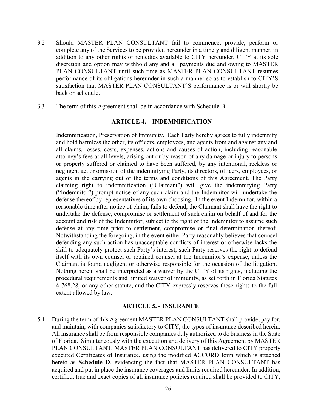- back on schedule. 3.2 Should MASTER PLAN CONSULTANT fail to commence, provide, perform or complete any of the Services to be provided hereunder in a timely and diligent manner, in addition to any other rights or remedies available to CITY hereunder, CITY at its sole discretion and option may withhold any and all payments due and owing to MASTER PLAN CONSULTANT until such time as MASTER PLAN CONSULTANT resumes performance of its obligations hereunder in such a manner so as to establish to CITY'S satisfaction that MASTER PLAN CONSULTANT'S performance is or will shortly be
- 3.3 The term of this Agreement shall be in accordance with Schedule B.

#### **ARTICLE 4. – INDEMNIFICATION**

 and hold harmless the other, its officers, employees, and agents from and against any and ("Indemnitor") prompt notice of any such claim and the Indemnitor will undertake the defense at any time prior to settlement, compromise or final determination thereof. defending any such action has unacceptable conflicts of interest or otherwise lacks the Nothing herein shall be interpreted as a waiver by the CITY of its rights, including the Indemnification, Preservation of Immunity. Each Party hereby agrees to fully indemnify all claims, losses, costs, expenses, actions and causes of action, including reasonable attorney's fees at all levels, arising out or by reason of any damage or injury to persons or property suffered or claimed to have been suffered, by any intentional, reckless or negligent act or omission of the indemnifying Party, its directors, officers, employees, or agents in the carrying out of the terms and conditions of this Agreement. The Party claiming right to indemnification ("Claimant") will give the indemnifying Party defense thereof by representatives of its own choosing. In the event Indemnitor, within a reasonable time after notice of claim, fails to defend, the Claimant shall have the right to undertake the defense, compromise or settlement of such claim on behalf of and for the account and risk of the Indemnitor, subject to the right of the Indemnitor to assume such Notwithstanding the foregoing, in the event either Party reasonably believes that counsel skill to adequately protect such Party's interest, such Party reserves the right to defend itself with its own counsel or retained counsel at the Indemnitor's expense, unless the Claimant is found negligent or otherwise responsible for the occasion of the litigation. procedural requirements and limited waiver of immunity, as set forth in Florida Statutes § 768.28, or any other statute, and the CITY expressly reserves these rights to the full extent allowed by law.

#### **ARTICLE 5. - INSURANCE**

5.1 During the term of this Agreement MASTER PLAN CONSULTANT shall provide, pay for, and maintain, with companies satisfactory to CITY, the types of insurance described herein. All insurance shall be from responsible companies duly authorized to do business in the State of Florida. Simultaneously with the execution and delivery of this Agreement by MASTER PLAN CONSULTANT, MASTER PLAN CONSULTANT has delivered to CITY properly executed Certificates of Insurance, using the modified ACCORD form which is attached hereto as **Schedule D**, evidencing the fact that MASTER PLAN CONSULTANT has acquired and put in place the insurance coverages and limits required hereunder. In addition, certified, true and exact copies of all insurance policies required shall be provided to CITY,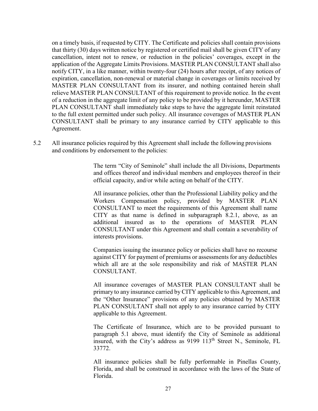on a timely basis, if requested by CITY. The Certificate and policies shall contain provisions that thirty (30) days written notice by registered or certified mail shall be given CITY of any notify CITY, in a like manner, within twenty-four (24) hours after receipt, of any notices of cancellation, intent not to renew, or reduction in the policies' coverages, except in the application of the Aggregate Limits Provisions. MASTER PLAN CONSULTANT shall also expiration, cancellation, non-renewal or material change in coverages or limits received by MASTER PLAN CONSULTANT from its insurer, and nothing contained herein shall relieve MASTER PLAN CONSULTANT of this requirement to provide notice. In the event of a reduction in the aggregate limit of any policy to be provided by it hereunder, MASTER PLAN CONSULTANT shall immediately take steps to have the aggregate limit reinstated to the full extent permitted under such policy. All insurance coverages of MASTER PLAN CONSULTANT shall be primary to any insurance carried by CITY applicable to this Agreement.

 5.2 All insurance policies required by this Agreement shall include the following provisions and conditions by endorsement to the policies:

> The term "City of Seminole" shall include the all Divisions, Departments and offices thereof and individual members and employees thereof in their official capacity, and/or while acting on behalf of the CITY.

 Workers Compensation policy, provided by MASTER PLAN interests provisions. All insurance policies, other than the Professional Liability policy and the CONSULTANT to meet the requirements of this Agreement shall name CITY as that name is defined in subparagraph 8.2.1, above, as an additional insured as to the operations of MASTER PLAN CONSULTANT under this Agreement and shall contain a severability of

 against CITY for payment of premiums or assessments for any deductibles Companies issuing the insurance policy or policies shall have no recourse which all are at the sole responsibility and risk of MASTER PLAN CONSULTANT.

 primary to any insurance carried by CITY applicable to this Agreement, and All insurance coverages of MASTER PLAN CONSULTANT shall be the "Other Insurance" provisions of any policies obtained by MASTER PLAN CONSULTANT shall not apply to any insurance carried by CITY applicable to this Agreement.

insured, with the City's address as 9199 113<sup>th</sup> Street N., Seminole, FL The Certificate of Insurance, which are to be provided pursuant to paragraph 5.1 above, must identify the City of Seminole as additional 33772.

All insurance policies shall be fully performable in Pinellas County, Florida, and shall be construed in accordance with the laws of the State of Florida.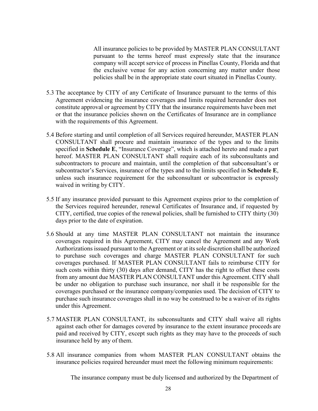policies shall be in the appropriate state court situated in Pinellas County. All insurance policies to be provided by MASTER PLAN CONSULTANT pursuant to the terms hereof must expressly state that the insurance company will accept service of process in Pinellas County, Florida and that the exclusive venue for any action concerning any matter under those

- or that the insurance policies shown on the Certificates of Insurance are in compliance with the requirements of this Agreement. 5.3 The acceptance by CITY of any Certificate of Insurance pursuant to the terms of this Agreement evidencing the insurance coverages and limits required hereunder does not constitute approval or agreement by CITY that the insurance requirements have been met
- waived in writing by CITY. 5.4 Before starting and until completion of all Services required hereunder, MASTER PLAN CONSULTANT shall procure and maintain insurance of the types and to the limits specified in **Schedule E**, "Insurance Coverage", which is attached hereto and made a part hereof. MASTER PLAN CONSULTANT shall require each of its subconsultants and subcontractors to procure and maintain, until the completion of that subconsultant's or subcontractor's Services, insurance of the types and to the limits specified in **Schedule E**, unless such insurance requirement for the subconsultant or subcontractor is expressly
- days prior to the date of expiration. 5.5 If any insurance provided pursuant to this Agreement expires prior to the completion of the Services required hereunder, renewal Certificates of Insurance and, if requested by CITY, certified, true copies of the renewal policies, shall be furnished to CITY thirty (30)
- to purchase such coverages and charge MASTER PLAN CONSULTANT for such coverages purchased. If MASTER PLAN CONSULTANT fails to reimburse CITY for under this Agreement. 5.6 Should at any time MASTER PLAN CONSULTANT not maintain the insurance coverages required in this Agreement, CITY may cancel the Agreement and any Work Authorizations issued pursuant to the Agreement or at its sole discretion shall be authorized such costs within thirty (30) days after demand, CITY has the right to offset these costs from any amount due MASTER PLAN CONSULTANT under this Agreement. CITY shall be under no obligation to purchase such insurance, nor shall it be responsible for the coverages purchased or the insurance company/companies used. The decision of CITY to purchase such insurance coverages shall in no way be construed to be a waiver of its rights
- paid and received by CITY, except such rights as they may have to the proceeds of such insurance held by any of them. 5.7 MASTER PLAN CONSULTANT, its subconsultants and CITY shall waive all rights against each other for damages covered by insurance to the extent insurance proceeds are
- 5.8 All insurance companies from whom MASTER PLAN CONSULTANT obtains the insurance policies required hereunder must meet the following minimum requirements:

The insurance company must be duly licensed and authorized by the Department of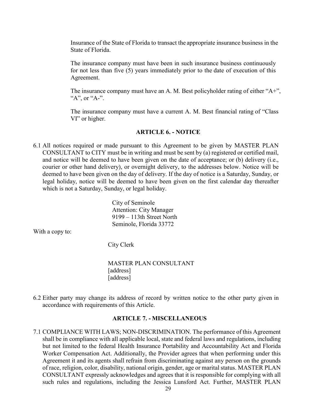State of Florida. Insurance of the State of Florida to transact the appropriate insurance business in the

The insurance company must have been in such insurance business continuously for not less than five (5) years immediately prior to the date of execution of this Agreement.

The insurance company must have an A. M. Best policyholder rating of either " $A+$ ", "A", or "A-".

 VI" or higher. The insurance company must have a current A. M. Best financial rating of "Class

#### **ARTICLE 6. - NOTICE**

 6.1 All notices required or made pursuant to this Agreement to be given by MASTER PLAN CONSULTANT to CITY must be in writing and must be sent by (a) registered or certified mail, and notice will be deemed to have been given on the date of acceptance; or (b) delivery (i.e., courier or other hand delivery), or overnight delivery, to the addresses below. Notice will be deemed to have been given on the day of delivery. If the day of notice is a Saturday, Sunday, or legal holiday, notice will be deemed to have been given on the first calendar day thereafter which is not a Saturday, Sunday, or legal holiday.

> City of Seminole Attention: City Manager 9199 – 113th Street North Seminole, Florida 33772

With a copy to:

City Clerk

MASTER PLAN CONSULTANT [address] [address]

 6.2 Either party may change its address of record by written notice to the other party given in accordance with requirements of this Article.

#### **ARTICLE 7. - MISCELLANEOUS**

7.1 COMPLIANCE WITH LAWS; NON-DISCRIMINATION. The performance of this Agreement shall be in compliance with all applicable local, state and federal laws and regulations, including but not limited to the federal Health Insurance Portability and Accountability Act and Florida Worker Compensation Act. Additionally, the Provider agrees that when performing under this Agreement it and its agents shall refrain from discriminating against any person on the grounds of race, religion, color, disability, national origin, gender, age or marital status. MASTER PLAN CONSULTANT expressly acknowledges and agrees that it is responsible for complying with all such rules and regulations, including the Jessica Lunsford Act. Further, MASTER PLAN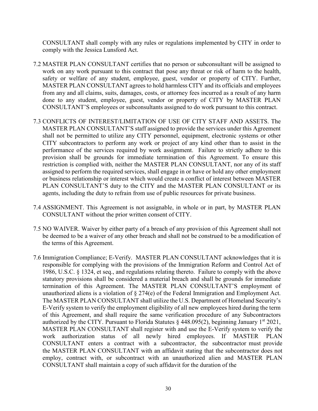CONSULTANT shall comply with any rules or regulations implemented by CITY in order to comply with the Jessica Lunsford Act.

- 7.2 MASTER PLAN CONSULTANT certifies that no person or subconsultant will be assigned to work on any work pursuant to this contract that pose any threat or risk of harm to the health, safety or welfare of any student, employee, guest, vendor or property of CITY. Further, MASTER PLAN CONSULTANT agrees to hold harmless CITY and its officials and employees from any and all claims, suits, damages, costs, or attorney fees incurred as a result of any harm done to any student, employee, guest, vendor or property of CITY by MASTER PLAN CONSULTANT'S employees or subconsultants assigned to do work pursuant to this contract.
- CITY subcontractors to perform any work or project of any kind other than to assist in the assigned to perform the required services, shall engage in or have or hold any other employment 7.3 CONFLICTS OF INTEREST/LIMITATION OF USE OF CITY STAFF AND ASSETS. The MASTER PLAN CONSULTANT'S staff assigned to provide the services under this Agreement shall not be permitted to utilize any CITY personnel, equipment, electronic systems or other performance of the services required by work assignment. Failure to strictly adhere to this provision shall be grounds for immediate termination of this Agreement. To ensure this restriction is complied with, neither the MASTER PLAN CONSULTANT, nor any of its staff or business relationship or interest which would create a conflict of interest between MASTER PLAN CONSULTANT'S duty to the CITY and the MASTER PLAN CONSULTANT or its agents, including the duty to refrain from use of public resources for private business.
- CONSULTANT without the prior written consent of CITY. 7.4 ASSIGNMENT. This Agreement is not assignable, in whole or in part, by MASTER PLAN
- the terms of this Agreement. 7.5 NO WAIVER. Waiver by either party of a breach of any provision of this Agreement shall not be deemed to be a waiver of any other breach and shall not be construed to be a modification of
- 7.6 Immigration Compliance; E-Verify. MASTER PLAN CONSULTANT acknowledges that it is responsible for complying with the provisions of the Immigration Reform and Control Act of authorized by the CITY. Pursuant to Florida Statutes  $\S$  448.095(2), beginning January 1st 2021, CONSULTANT enters a contract with a subcontractor, the subcontractor must provide employ, contract with, or subcontract with an unauthorized alien and MASTER PLAN 1986, U.S.C. § 1324, et seq., and regulations relating thereto. Failure to comply with the above statutory provisions shall be considered a material breach and shall be grounds for immediate termination of this Agreement. The MASTER PLAN CONSULTANT'S employment of unauthorized aliens is a violation of § 274(e) of the Federal Immigration and Employment Act. The MASTER PLAN CONSULTANT shall utilize the U.S. Department of Homeland Security's E-Verify system to verify the employment eligibility of all new employees hired during the term of this Agreement, and shall require the same verification procedure of any Subcontractors MASTER PLAN CONSULTANT shall register with and use the E-Verify system to verify the work authorization status of all newly hired employees. If MASTER PLAN the MASTER PLAN CONSULTANT with an affidavit stating that the subcontractor does not CONSULTANT shall maintain a copy of such affidavit for the duration of the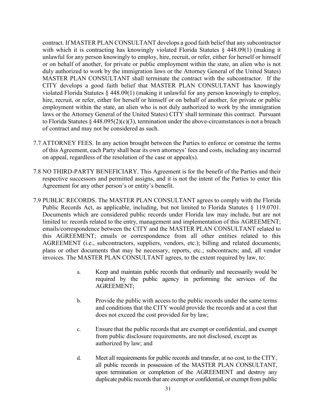MASTER PLAN CONSULTANT shall terminate the contract with the subcontractor. If the contract. If MASTER PLAN CONSULTANT develops a good faith belief that any subcontractor with which it is contracting has knowingly violated Florida Statutes § 448.09(1) (making it unlawful for any person knowingly to employ, hire, recruit, or refer, either for herself or himself or on behalf of another, for private or public employment within the state, an alien who is not duly authorized to work by the immigration laws or the Attorney General of the United States) CITY develops a good faith belief that MASTER PLAN CONSULTANT has knowingly violated Florida Statutes § 448.09(1) (making it unlawful for any person knowingly to employ, hire, recruit, or refer, either for herself or himself or on behalf of another, for private or public employment within the state, an alien who is not duly authorized to work by the immigration laws or the Attorney General of the United States) CITY shall terminate this contract. Pursuant to Florida Statutes § 448.095(2)(c)(3), termination under the above-circumstances is not a breach of contract and may not be considered as such.

- of this Agreement, each Party shall bear its own attorneys' fees and costs, including any incurred 7.7 ATTORNEY FEES. In any action brought between the Parties to enforce or construe the terms on appeal, regardless of the resolution of the case or appeal(s).
- Agreement for any other person's or entity's benefit. 7.8 NO THIRD-PARTY BENEFICIARY. This Agreement is for the benefit of the Parties and their respective successors and permitted assigns, and it is not the intent of the Parties to enter this
- Public Records Act, as applicable, including, but not limited to Florida Statutes § 119.0701. 7.9 PUBLIC RECORDS. The MASTER PLAN CONSULTANT agrees to comply with the Florida Documents which are considered public records under Florida law may include, but are not limited to: records related to the entry, management and implementation of this AGREEMENT; emails/correspondence between the CITY and the MASTER PLAN CONSULTANT related to this AGREEMENT; emails or correspondence from all other entities related to this AGREEMENT (i.e., subcontractors, suppliers, vendors, etc.); billing and related documents; plans or other documents that may be necessary, reports, etc.; subcontracts; and, all vendor invoices. The MASTER PLAN CONSULTANT agrees, to the extent required by law, to:
	- a. Keep and maintain public records that ordinarily and necessarily would be required by the public agency in performing the services of the AGREEMENT;
	- and conditions that the CITY would provide the records and at a cost that does not exceed the cost provided for by law; b. Provide the public with access to the public records under the same terms
	- from public disclosure requirements, are not disclosed, except as authorized by law; and c. Ensure that the public records that are exempt or confidential, and exempt
	- duplicate public records that are exempt or confidential, or exempt from public d. Meet all requirements for public records and transfer, at no cost, to the CITY, all public records in possession of the MASTER PLAN CONSULTANT, upon termination or completion of the AGREEMENT and destroy any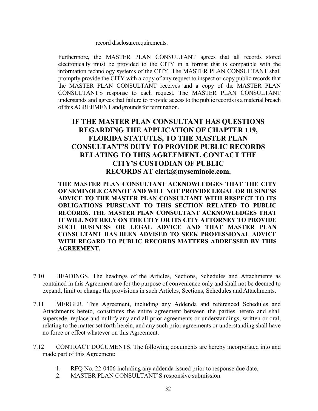record disclosurerequirements.

 Furthermore, the MASTER PLAN CONSULTANT agrees that all records stored electronically must be provided to the CITY in a format that is compatible with the understands and agrees that failure to provide access to the public records is a material breach of this AGREEMENT and grounds for termination. information technology systems of the CITY. The MASTER PLAN CONSULTANT shall promptly provide the CITY with a copy of any request to inspect or copy public records that the MASTER PLAN CONSULTANT receives and a copy of the MASTER PLAN CONSULTANT'S response to each request. The MASTER PLAN CONSULTANT

## **IF THE MASTER PLAN CONSULTANT HAS QUESTIONS REGARDING THE APPLICATION OF CHAPTER 119, FLORIDA STATUTES, TO THE MASTER PLAN CONSULTANT'S DUTY TO PROVIDE PUBLIC RECORDS RELATING TO THIS AGREEMENT, CONTACT THE CITY'S CUSTODIAN OF PUBLIC RECORDS AT clerk@myseminole.com.**

 **RECORDS. THE MASTER PLAN CONSULTANT ACKNOWLEDGES THAT IT WILL NOT RELY ON THE CITY OR ITS CITY ATTORNEY TO PROVIDE THE MASTER PLAN CONSULTANT ACKNOWLEDGES THAT THE CITY OF SEMINOLE CANNOT AND WILL NOT PROVIDE LEGAL OR BUSINESS ADVICE TO THE MASTER PLAN CONSULTANT WITH RESPECT TO ITS OBLIGATIONS PURSUANT TO THIS SECTION RELATED TO PUBLIC SUCH BUSINESS OR LEGAL ADVICE AND THAT MASTER PLAN CONSULTANT HAS BEEN ADVISED TO SEEK PROFESSIONAL ADVICE WITH REGARD TO PUBLIC RECORDS MATTERS ADDRESSED BY THIS AGREEMENT.** 

- 7.10 HEADINGS. The headings of the Articles, Sections, Schedules and Attachments as contained in this Agreement are for the purpose of convenience only and shall not be deemed to expand, limit or change the provisions in such Articles, Sections, Schedules and Attachments.
- no force or effect whatever on this Agreement. 7.11 MERGER. This Agreement, including any Addenda and referenced Schedules and Attachments hereto, constitutes the entire agreement between the parties hereto and shall supersede, replace and nullify any and all prior agreements or understandings, written or oral, relating to the matter set forth herein, and any such prior agreements or understanding shall have
- made part of this Agreement: 7.12 CONTRACT DOCUMENTS. The following documents are hereby incorporated into and
	- 1. RFQ No. 22-0406 including any addenda issued prior to response due date,
	- 2. MASTER PLAN CONSULTANT'S responsive submission.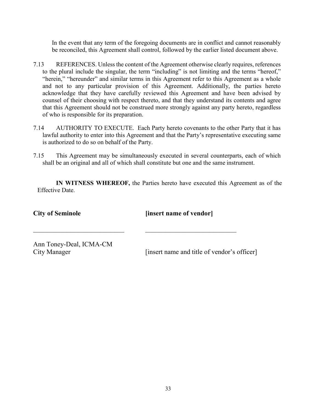In the event that any term of the foregoing documents are in conflict and cannot reasonably be reconciled, this Agreement shall control, followed by the earlier listed document above.

- to the plural include the singular, the term "including" is not limiting and the terms "hereof," "herein," "hereunder" and similar terms in this Agreement refer to this Agreement as a whole 7.13 REFERENCES. Unless the content of the Agreement otherwise clearly requires, references and not to any particular provision of this Agreement. Additionally, the parties hereto acknowledge that they have carefully reviewed this Agreement and have been advised by counsel of their choosing with respect thereto, and that they understand its contents and agree that this Agreement should not be construed more strongly against any party hereto, regardless of who is responsible for its preparation.
- 7.14 AUTHORITY TO EXECUTE. Each Party hereto covenants to the other Party that it has lawful authority to enter into this Agreement and that the Party's representative executing same is authorized to do so on behalf of the Party.
- shall be an original and all of which shall constitute but one and the same instrument. 7.15 This Agreement may be simultaneously executed in several counterparts, each of which

**IN WITNESS WHEREOF,** the Parties hereto have executed this Agreement as of the Effective Date.

 **City of Seminole**

**[insert name of vendor]**

Ann Toney-Deal, ICMA-CM City Manager

 $\frac{1}{2}$  ,  $\frac{1}{2}$  ,  $\frac{1}{2}$  ,  $\frac{1}{2}$  ,  $\frac{1}{2}$  ,  $\frac{1}{2}$  ,  $\frac{1}{2}$  ,  $\frac{1}{2}$  ,  $\frac{1}{2}$  ,  $\frac{1}{2}$  ,  $\frac{1}{2}$  ,  $\frac{1}{2}$  ,  $\frac{1}{2}$  ,  $\frac{1}{2}$  ,  $\frac{1}{2}$  ,  $\frac{1}{2}$  ,  $\frac{1}{2}$  ,  $\frac{1}{2}$  ,  $\frac{1$ 

[insert name and title of vendor's officer]

 $\frac{1}{2}$  ,  $\frac{1}{2}$  ,  $\frac{1}{2}$  ,  $\frac{1}{2}$  ,  $\frac{1}{2}$  ,  $\frac{1}{2}$  ,  $\frac{1}{2}$  ,  $\frac{1}{2}$  ,  $\frac{1}{2}$  ,  $\frac{1}{2}$  ,  $\frac{1}{2}$  ,  $\frac{1}{2}$  ,  $\frac{1}{2}$  ,  $\frac{1}{2}$  ,  $\frac{1}{2}$  ,  $\frac{1}{2}$  ,  $\frac{1}{2}$  ,  $\frac{1}{2}$  ,  $\frac{1$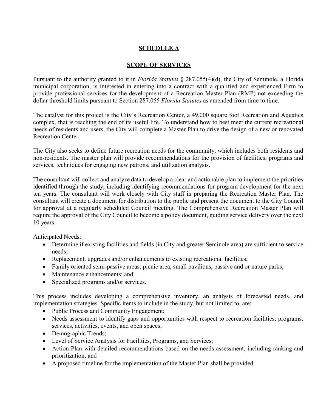## **SCHEDULE A**

#### **SCOPE OF SERVICES**

 Pursuant to the authority granted to it in *Florida Statutes* § 287.055(4)(d), the City of Seminole, a Florida municipal corporation, is interested in entering into a contract with a qualified and experienced Firm to provide professional services for the development of a Recreation Master Plan (RMP) not exceeding the dollar threshold limits pursuant to Section 287.055 *Florida Statutes* as amended from time to time.

 needs of residents and users, the City will complete a Master Plan to drive the design of a new or renovated The catalyst for this project is the City's Recreation Center, a 49,000 square foot Recreation and Aquatics complex, that is reaching the end of its useful life. To understand how to best meet the current recreational Recreation Center.

The City also seeks to define future recreation needs for the community, which includes both residents and non-residents. The master plan will provide recommendations for the provision of facilities, programs and services, techniques for engaging new patrons, and utilization analysis.

 identified through the study, including identifying recommendations for program development for the next consultant will create a document for distribution to the public and present the document to the City Council for approval at a regularly scheduled Council meeting. The Comprehensive Recreation Master Plan will 10 years. The consultant will collect and analyze data to develop a clear and actionable plan to implement the priorities ten years. The consultant will work closely with City staff in preparing the Recreation Master Plan. The require the approval of the City Council to become a policy document, guiding service delivery over the next

Anticipated Needs:

- • Determine if existing facilities and fields (in City and greater Seminole area) are sufficient to service needs;
- Replacement, upgrades and/or enhancements to existing recreational facilities;
- Family oriented semi-passive areas; picnic area, small pavilions, passive and or nature parks;
- Maintenance enhancements; and
- Specialized programs and/or services.

This process includes developing a comprehensive inventory, an analysis of forecasted needs, and implementation strategies. Specific items to include in the study, but not limited to, are:

- Public Process and Community Engagement;
- • Needs assessment to identify gaps and opportunities with respect to recreation facilities, programs, services, activities, events, and open spaces;
- Demographic Trends;
- Level of Service Analysis for Facilities, Programs, and Services;
- Action Plan with detailed recommendations based on the needs assessment, including ranking and prioritization; and
- A proposed timeline for the implementation of the Master Plan shall be provided.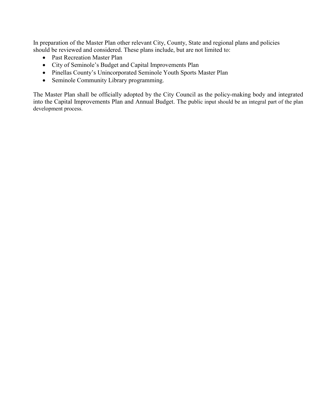In preparation of the Master Plan other relevant City, County, State and regional plans and policies should be reviewed and considered. These plans include, but are not limited to:

- Past Recreation Master Plan
- City of Seminole's Budget and Capital Improvements Plan
- Pinellas County's Unincorporated Seminole Youth Sports Master Plan
- Seminole Community Library programming.

The Master Plan shall be officially adopted by the City Council as the policy-making body and integrated into the Capital Improvements Plan and Annual Budget. The public input should be an integral part of the plan development process.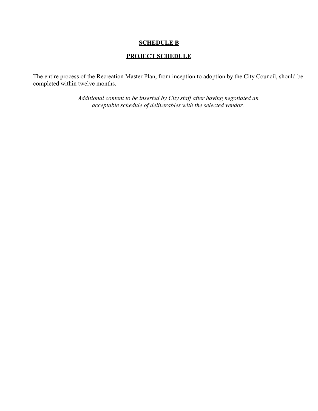#### **SCHEDULE B**

## **PROJECT SCHEDULE**

 The entire process of the Recreation Master Plan, from inception to adoption by the City Council, should be completed within twelve months.

> *Additional content to be inserted by City staff after having negotiated an acceptable schedule of deliverables with the selected vendor.*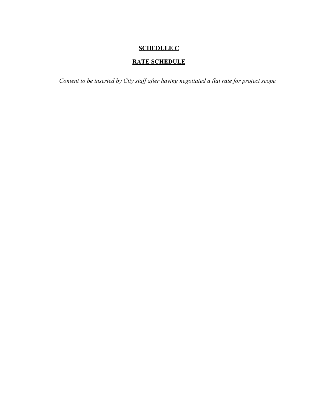## **SCHEDULE C**

## **RATE SCHEDULE**

 *Content to be inserted by City staff after having negotiated a flat rate for project scope.*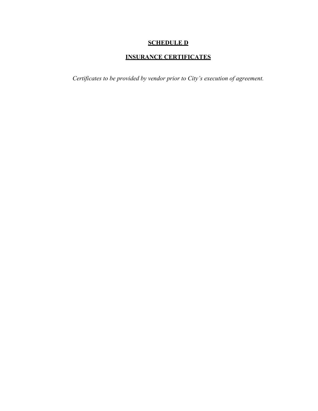## **SCHEDULE D**

## **INSURANCE CERTIFICATES**

*Certificates to be provided by vendor prior to City's execution of agreement.*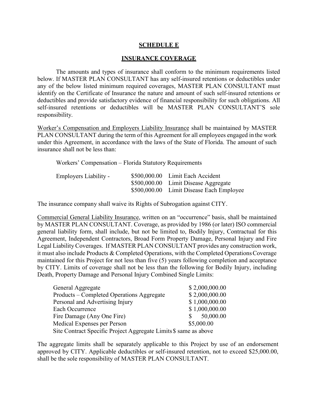#### **SCHEDULE E**

#### **INSURANCE COVERAGE**

 deductibles and provide satisfactory evidence of financial responsibility for such obligations. All responsibility. The amounts and types of insurance shall conform to the minimum requirements listed below. If MASTER PLAN CONSULTANT has any self-insured retentions or deductibles under any of the below listed minimum required coverages, MASTER PLAN CONSULTANT must identify on the Certificate of Insurance the nature and amount of such self-insured retentions or self-insured retentions or deductibles will be MASTER PLAN CONSULTANT'S sole

responsibility.<br><u>Worker's Compensation and Employers Liability Insurance</u> shall be maintained by MASTER insurance shall not be less than: PLAN CONSULTANT during the term of this Agreement for all employees engaged in the work under this Agreement, in accordance with the laws of the State of Florida. The amount of such

Workers' Compensation – Florida Statutory Requirements

| Employers Liability - | \$500,000.00 Limit Each Accident         |
|-----------------------|------------------------------------------|
|                       | \$500,000.00 Limit Disease Aggregate     |
|                       | \$500,000.00 Limit Disease Each Employee |

The insurance company shall waive its Rights of Subrogation against CITY.

 by MASTER PLAN CONSULTANT. Coverage, as provided by 1986 (or later) ISO commercial general liability form, shall include, but not be limited to, Bodily Injury, Contractual for this Agreement, Independent Contractors, Broad Form Property Damage, Personal Injury and Fire by CITY. Limits of coverage shall not be less than the following for Bodily Injury, including Death, Property Damage and Personal Injury Combined Single Limits: Commercial General Liability Insurance, written on an "occurrence" basis, shall be maintained Legal Liability Coverages. If MASTER PLAN CONSULTANT provides any construction work, it must also include Products & Completed Operations, with the Completed Operations Coverage maintained for this Project for not less than five (5) years following completion and acceptance

| General Aggregate                                                | \$2,000,000.00 |  |
|------------------------------------------------------------------|----------------|--|
| Products – Completed Operations Aggregate                        | \$2,000,000.00 |  |
| Personal and Advertising Injury                                  | \$1,000,000.00 |  |
| Each Occurrence                                                  | \$1,000,000.00 |  |
| Fire Damage (Any One Fire)                                       | 50,000.00      |  |
| Medical Expenses per Person                                      | \$5,000.00     |  |
| Site Contract Specific Project Aggregate Limits \$ same as above |                |  |

The aggregate limits shall be separately applicable to this Project by use of an endorsement approved by CITY. Applicable deductibles or self-insured retention, not to exceed \$25,000.00, shall be the sole responsibility of MASTER PLAN CONSULTANT.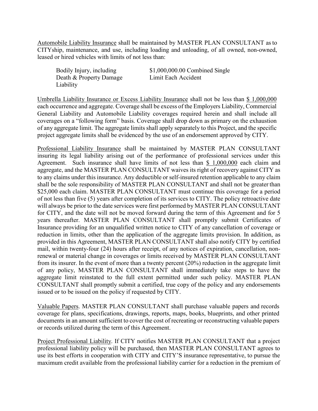Automobile Liability Insurance shall be maintained by MASTER PLAN CONSULTANT as to CITYship, maintenance, and use, including loading and unloading, of all owned, non-owned, leased or hired vehicles with limits of not less than:

Bodily Injury, including Death & Property Damage Limit Each Accident Liability

 $$1,000,000.00$  Combined Single

Umbrella Liability Insurance or Excess Liability Insurance shall not be less than \$ 1,000,000 each occurrence and aggregate. Coverage shall be excess of the Employers Liability, Commercial coverages on a "following form" basis. Coverage shall drop down as primary on the exhaustion project aggregate limits shall be evidenced by the use of an endorsement approved by CITY. General Liability and Automobile Liability coverages required herein and shall include all of any aggregate limit. The aggregate limits shall apply separately to this Project, and the specific

Agreement. Such insurance shall have limits of not less than  $$1,000,000$  each claim and aggregate, and the MASTER PLAN CONSULTANT waives its right of recovery against CITY as to any claims under this insurance. Any deductible or self-insured retention applicable to any claim shall be the sole responsibility of MASTER PLAN CONSULTANT and shall not be greater than of not less than five (5) years after completion of its services to CITY. The policy retroactive date renewal or material change in coverages or limits received by MASTER PLAN CONSULTANT issued or to be issued on the policy if requested by CITY. Professional Liability Insurance shall be maintained by MASTER PLAN CONSULTANT insuring its legal liability arising out of the performance of professional services under this \$25,000 each claim. MASTER PLAN CONSULTANT must continue this coverage for a period will always be prior to the date services were first performed by MASTER PLAN CONSULTANT for CITY, and the date will not be moved forward during the term of this Agreement and for 5 years thereafter. MASTER PLAN CONSULTANT shall promptly submit Certificates of Insurance providing for an unqualified written notice to CITY of any cancellation of coverage or reduction in limits, other than the application of the aggregate limits provision. In addition, as provided in this Agreement, MASTER PLAN CONSULTANT shall also notify CITY by certified mail, within twenty-four (24) hours after receipt, of any notices of expiration, cancellation, nonfrom its insurer. In the event of more than a twenty percent (20%) reduction in the aggregate limit of any policy, MASTER PLAN CONSULTANT shall immediately take steps to have the aggregate limit reinstated to the full extent permitted under such policy. MASTER PLAN CONSULTANT shall promptly submit a certified, true copy of the policy and any endorsements

 or records utilized during the term of this Agreement. Valuable Papers. MASTER PLAN CONSULTANT shall purchase valuable papers and records coverage for plans, specifications, drawings, reports, maps, books, blueprints, and other printed documents in an amount sufficient to cover the cost of recreating or reconstructing valuable papers

Project Professional Liability. If CITY notifies MASTER PLAN CONSULTANT that a project professional liability policy will be purchased, then MASTER PLAN CONSULTANT agrees to use its best efforts in cooperation with CITY and CITY'S insurance representative, to pursue the maximum credit available from the professional liability carrier for a reduction in the premium of